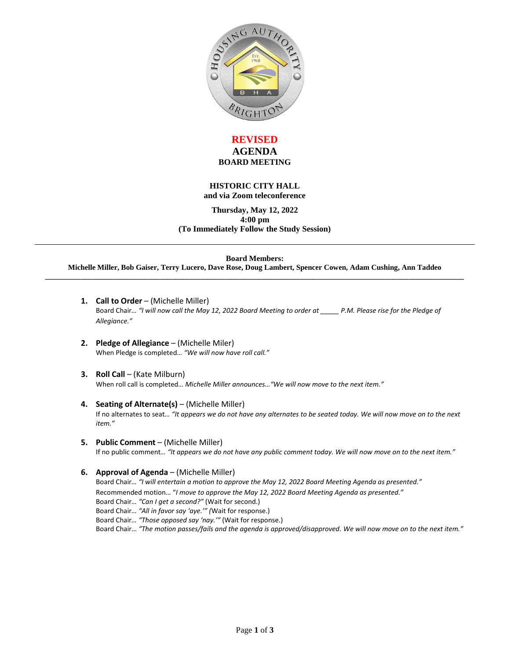

## **REVISED AGENDA BOARD MEETING**

#### **HISTORIC CITY HALL and via Zoom teleconference**

**Thursday, May 12, 2022 4:00 pm (To Immediately Follow the Study Session)**

**Board Members:**

**Michelle Miller, Bob Gaiser, Terry Lucero, Dave Rose, Doug Lambert, Spencer Cowen, Adam Cushing, Ann Taddeo \_\_\_\_\_\_\_\_\_\_\_\_\_\_\_\_\_\_\_\_\_\_\_\_\_\_\_\_\_\_\_\_\_\_\_\_\_\_\_\_\_\_\_\_\_\_\_\_\_\_\_\_\_\_\_\_\_\_\_\_\_\_\_\_\_\_\_\_\_\_\_\_\_\_\_\_\_\_\_\_\_\_\_\_\_\_\_\_\_\_\_\_\_\_\_\_\_\_\_\_\_\_\_\_\_\_**

- 1. **Call to Order** (Michelle Miller) Board Chair*… "I will now call the May 12, 2022 Board Meeting to order at \_\_\_\_\_ P.M. Please rise for the Pledge of Allegiance."*
- **2. Pledge of Allegiance**  (Michelle Miler) When Pledge is completed*… "We will now have roll call."*
- **3. Roll Call** (Kate Milburn) When roll call is completed*… Michelle Miller announces…"We will now move to the next item."*
- **4. Seating of Alternate(s)**  (Michelle Miller) If no alternates to seat*… "It appears we do not have any alternates to be seated today. We will now move on to the next item."*
- **5. Public Comment**  (Michelle Miller) If no public comment*… "It appears we do not have any public comment today. We will now move on to the next item."*

**6. Approval of Agenda** – (Michelle Miller) Board Chair... "I will entertain a motion to approve the May 12, 2022 Board Meeting Agenda as presented." Recommended motion… "*I move to approve the May 12, 2022 Board Meeting Agenda as presented."* Board Chair*… "Can I get a second?"* (Wait for second.) Board Chair*… "All in favor say 'aye.'" (*Wait for response.) Board Chair*… "Those opposed say 'nay.'"* (Wait for response.) Board Chair… *"The motion passes/fails and the agenda is approved/disapproved. We will now move on to the next item."*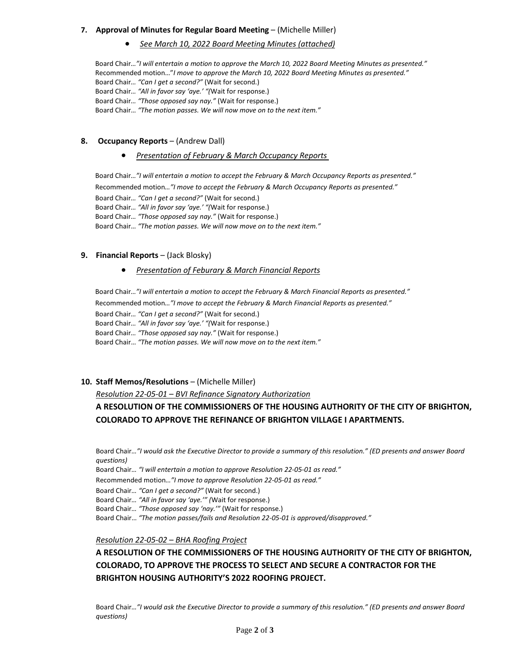#### **7. Approval of Minutes for Regular Board Meeting** – (Michelle Miller)

*See March 10, 2022 Board Meeting Minutes (attached)*

Board Chair*…"I will entertain a motion to approve the March 10, 2022 Board Meeting Minutes as presented."*  Recommended motion…"*I move to approve the March 10, 2022 Board Meeting Minutes as presented."* Board Chair*… "Can I get a second?"* (Wait for second.) Board Chair*… "All in favor say 'aye.' "(*Wait for response.) Board Chair*… "Those opposed say nay."* (Wait for response.) Board Chair… *"The motion passes. We will now move on to the next item."*

#### 8. **Occupancy Reports** – (Andrew Dall)

#### *Presentation of February & March Occupancy Reports*

Board Chair*…"I will entertain a motion to accept the February & March Occupancy Reports as presented."*  Recommended motion*…"I move to accept the February & March Occupancy Reports as presented."*

Board Chair*… "Can I get a second?"* (Wait for second.) Board Chair*… "All in favor say 'aye.' "(*Wait for response.) Board Chair*… "Those opposed say nay."* (Wait for response.) Board Chair… *"The motion passes. We will now move on to the next item."*

#### **9. Financial Reports** – (Jack Blosky)

#### *Presentation of Feburary & March Financial Reports*

Board Chair*…"I will entertain a motion to accept the February & March Financial Reports as presented."*  Recommended motion*…"I move to accept the February & March Financial Reports as presented."* Board Chair*… "Can I get a second?"* (Wait for second.) Board Chair*… "All in favor say 'aye.' "(*Wait for response.) Board Chair*… "Those opposed say nay."* (Wait for response.) Board Chair… *"The motion passes. We will now move on to the next item."*

### **10. Staff Memos/Resolutions** – (Michelle Miller)

*Resolution 22-05-01 – BVI Refinance Signatory Authorization*

# **A RESOLUTION OF THE COMMISSIONERS OF THE HOUSING AUTHORITY OF THE CITY OF BRIGHTON, COLORADO TO APPROVE THE REFINANCE OF BRIGHTON VILLAGE I APARTMENTS.**

Board Chair*…"I would ask the Executive Director to provide a summary of this resolution." (ED presents and answer Board questions)*

Board Chair*… "I will entertain a motion to approve Resolution 22-05-01 as read."* 

Recommended motion*…"I move to approve Resolution 22-05-01 as read."*

Board Chair*… "Can I get a second?"* (Wait for second.)

Board Chair*… "All in favor say 'aye.'" (*Wait for response.)

Board Chair*… "Those opposed say 'nay.'"* (Wait for response.)

Board Chair… *"The motion passes/fails and Resolution 22-05-01 is approved/disapproved."* 

*Resolution 22-05-02 – BHA Roofing Project*

# **A RESOLUTION OF THE COMMISSIONERS OF THE HOUSING AUTHORITY OF THE CITY OF BRIGHTON, COLORADO, TO APPROVE THE PROCESS TO SELECT AND SECURE A CONTRACTOR FOR THE BRIGHTON HOUSING AUTHORITY'S 2022 ROOFING PROJECT.**

Board Chair*…"I would ask the Executive Director to provide a summary of this resolution." (ED presents and answer Board questions)*